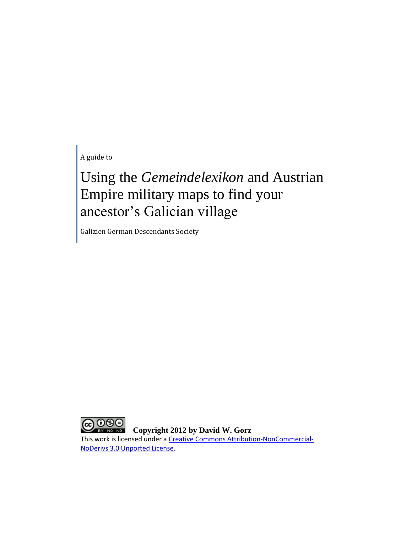A guide to

## Using the *Gemeindelexikon* and Austrian Empire military maps to find your ancestor's Galician village

Galizien German Descendants Society

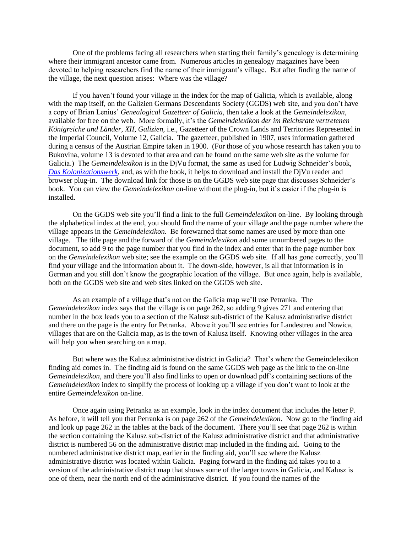One of the problems facing all researchers when starting their family's genealogy is determining where their immigrant ancestor came from. Numerous articles in genealogy magazines have been devoted to helping researchers find the name of their immigrant's village. But after finding the name of the village, the next question arises: Where was the village?

If you haven't found your village in the index for the map of Galicia, which is available, along with the map itself, on the Galizien Germans Descendants Society (GGDS) web site, and you don't have a copy of Brian Lenius' *Genealogical Gazetteer of Galicia*, then take a look at the *Gemeindelexikon*, available for free on the web. More formally, it's the *Gemeindelexikon der im Reichsrate vertretenen Königreiche und Länder, XII*, *Galizien,* i.e., Gazetteer of the Crown Lands and Territories Represented in the Imperial Council, Volume 12, Galicia. The gazetteer, published in 1907, uses information gathered during a census of the Austrian Empire taken in 1900. (For those of you whose research has taken you to Bukovina, volume 13 is devoted to that area and can be found on the same web site as the volume for Galicia.) The *Gemeindelexikon* is in the DjVu format, the same as used for Ludwig Schneider's book, *[Das Kolonizationswerk,](http://www.galiziengermandescendants.org/books.htm)* and, as with the book, it helps to download and install the DjVu reader and browser plug-in. The download link for those is on the GGDS web site page that discusses Schneider's book. You can view the *Gemeindelexikon* on-line without the plug-in, but it's easier if the plug-in is installed.

On the GGDS web site you'll find a link to the full *Gemeindelexikon* on-line. By looking through the alphabetical index at the end, you should find the name of your village and the page number where the village appears in the *Gemeindelexikon*. Be forewarned that some names are used by more than one village. The title page and the forward of the *Gemeindelexikon* add some unnumbered pages to the document, so add 9 to the page number that you find in the index and enter that in the page number box on the *Gemeindelexikon* web site; see the example on the GGDS web site. If all has gone correctly, you'll find your village and the information about it. The down-side, however, is all that information is in German and you still don't know the geographic location of the village. But once again, help is available, both on the GGDS web site and web sites linked on the GGDS web site.

As an example of a village that's not on the Galicia map we'll use Petranka. The *Gemeindelexikon* index says that the village is on page 262, so adding 9 gives 271 and entering that number in the box leads you to a section of the Kalusz sub-district of the Kalusz administrative district and there on the page is the entry for Petranka. Above it you'll see entries for Landestreu and Nowica, villages that are on the Galicia map, as is the town of Kalusz itself. Knowing other villages in the area will help you when searching on a map.

But where was the Kalusz administrative district in Galicia? That's where the Gemeindelexikon finding aid comes in. The finding aid is found on the same GGDS web page as the link to the on-line *Gemeindelexikon*, and there you'll also find links to open or download pdf's containing sections of the *Gemeindelexikon* index to simplify the process of looking up a village if you don't want to look at the entire *Gemeindelexikon* on-line.

Once again using Petranka as an example, look in the index document that includes the letter P. As before, it will tell you that Petranka is on page 262 of the *Gemeindelexikon*. Now go to the finding aid and look up page 262 in the tables at the back of the document. There you'll see that page 262 is within the section containing the Kalusz sub-district of the Kalusz administrative district and that administrative district is numbered 56 on the administrative district map included in the finding aid. Going to the numbered administrative district map, earlier in the finding aid, you'll see where the Kalusz administrative district was located within Galicia. Paging forward in the finding aid takes you to a version of the administrative district map that shows some of the larger towns in Galicia, and Kalusz is one of them, near the north end of the administrative district. If you found the names of the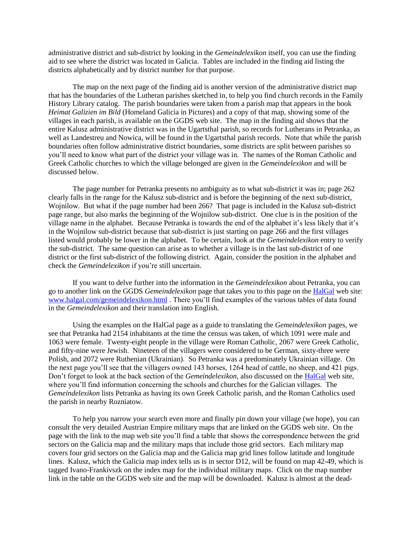administrative district and sub-district by looking in the *Gemeindelexikon* itself, you can use the finding aid to see where the district was located in Galicia. Tables are included in the finding aid listing the districts alphabetically and by district number for that purpose.

The map on the next page of the finding aid is another version of the administrative district map that has the boundaries of the Lutheran parishes sketched in, to help you find church records in the Family History Library catalog. The parish boundaries were taken from a parish map that appears in the book *Heimat Galizien im Bild* (Homeland Galicia in Pictures) and a copy of that map, showing some of the villages in each parish, is available on the GGDS web site. The map in the finding aid shows that the entire Kalusz administrative district was in the Ugartsthal parish, so records for Lutherans in Petranka, as well as Landestreu and Nowica, will be found in the Ugartsthal parish records. Note that while the parish boundaries often follow administrative district boundaries, some districts are split between parishes so you'll need to know what part of the district your village was in. The names of the Roman Catholic and Greek Catholic churches to which the village belonged are given in the *Gemeindelexikon* and will be discussed below.

The page number for Petranka presents no ambiguity as to what sub-district it was in; page 262 clearly falls in the range for the Kalusz sub-district and is before the beginning of the next sub-district, Wojnilow. But what if the page number had been 266? That page is included in the Kalusz sub-district page range, but also marks the beginning of the Wojnilow sub-district. One clue is in the position of the village name in the alphabet. Because Petranka is towards the end of the alphabet it's less likely that it's in the Wojnilow sub-district because that sub-district is just starting on page 266 and the first villages listed would probably be lower in the alphabet. To be certain, look at the *Gemeindelexikon* entry to verify the sub-district. The same question can arise as to whether a village is in the last sub-district of one district or the first sub-district of the following district. Again, consider the position in the alphabet and check the *Gemeindelexikon* if you're still uncertain.

If you want to delve further into the information in the *Gemeindelexikon* about Petranka, you can go to another link on the GGDS *Gemeindelexikon* page that takes you to this page on the [HalGal](http://www.halgal.com/) web site: [www.halgal.com/gemeindelexikon.html](http://www.halgal.com/gemeindelexikon.html) . There you'll find examples of the various tables of data found in the *Gemeindelexikon* and their translation into English.

Using the examples on the HalGal page as a guide to translating the *Gemeindelexikon* pages, we see that Petranka had 2154 inhabitants at the time the census was taken, of which 1091 were male and 1063 were female. Twenty-eight people in the village were Roman Catholic, 2067 were Greek Catholic, and fifty-nine were Jewish. Nineteen of the villagers were considered to be German, sixty-three were Polish, and 2072 were Ruthenian (Ukrainian). So Petranka was a predominately Ukrainian village. On the next page you'll see that the villagers owned 143 horses, 1264 head of cattle, no sheep, and 421 pigs. Don't forget to look at the back section of the *Gemeindelexikon*, also discussed on th[e HalGal](http://www.halgal.com/) web site, where you'll find information concerning the schools and churches for the Galician villages. The *Gemeindelexikon* lists Petranka as having its own Greek Catholic parish, and the Roman Catholics used the parish in nearby Rozniatow.

To help you narrow your search even more and finally pin down your village (we hope), you can consult the very detailed Austrian Empire military maps that are linked on the GGDS web site. On the page with the link to the map web site you'll find a table that shows the correspondence between the grid sectors on the Galicia map and the military maps that include those grid sectors. Each military map covers four grid sectors on the Galicia map and the Galicia map grid lines follow latitude and longitude lines. Kalusz, which the Galicia map index tells us is in sector D12, will be found on map 42-49, which is tagged Ivano-Frankivszk on the index map for the individual military maps. Click on the map number link in the table on the GGDS web site and the map will be downloaded. Kalusz is almost at the dead